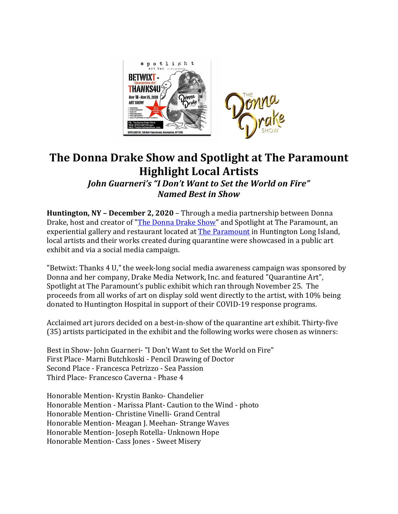

## **The Donna Drake Show and Spotlight at The Paramount Highlight Local Artists**

*John Guarneri's "I Don't Want to Set the World on Fire" Named Best in Show*

**Huntington, NY - December 2, 2020** – Through a media partnership between Donna Drake, host and creator of "The Donna Drake Show" and Spotlight at The Paramount, an experiential gallery and restaurant located at **The Paramount** in Huntington Long Island, local artists and their works created during quarantine were showcased in a public art exhibit and via a social media campaign.

"Betwixt: Thanks 4 U," the week-long social media awareness campaign was sponsored by Donna and her company, Drake Media Network, Inc. and featured "Quarantine Art", Spotlight at The Paramount's public exhibit which ran through November 25. The proceeds from all works of art on display sold went directly to the artist, with 10% being donated to Huntington Hospital in support of their COVID-19 response programs.

Acclaimed art jurors decided on a best-in-show of the quarantine art exhibit. Thirty-five (35) artists participated in the exhibit and the following works were chosen as winners:

Best in Show- John Guarneri- "I Don't Want to Set the World on Fire" First Place- Marni Butchkoski - Pencil Drawing of Doctor Second Place - Francesca Petrizzo - Sea Passion Third Place- Francesco Caverna - Phase 4

Honorable Mention- Krystin Banko- Chandelier Honorable Mention - Marissa Plant- Caution to the Wind - photo Honorable Mention- Christine Vinelli- Grand Central Honorable Mention- Meagan J. Meehan- Strange Waves Honorable Mention- Joseph Rotella- Unknown Hope Honorable Mention- Cass Jones - Sweet Misery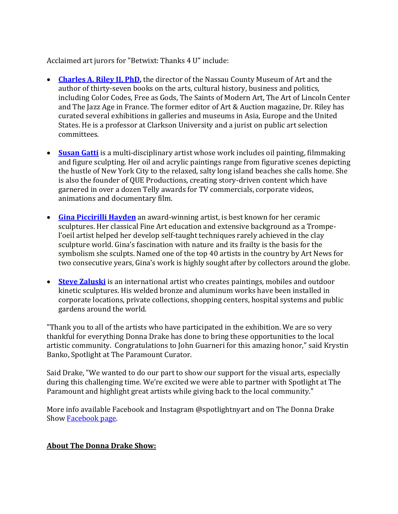Acclaimed art jurors for "Betwixt: Thanks 4 U" include:

- **Charles A. Riley II, PhD,** the director of the Nassau County Museum of Art and the author of thirty-seven books on the arts, cultural history, business and politics, including Color Codes, Free as Gods, The Saints of Modern Art, The Art of Lincoln Center and The Jazz Age in France. The former editor of Art & Auction magazine, Dr. Riley has curated several exhibitions in galleries and museums in Asia, Europe and the United States. He is a professor at Clarkson University and a jurist on public art selection committees.
- **Susan Gatti** is a multi-disciplinary artist whose work includes oil painting, filmmaking and figure sculpting. Her oil and acrylic paintings range from figurative scenes depicting the hustle of New York City to the relaxed, salty long island beaches she calls home. She is also the founder of QUE Productions, creating story-driven content which have garnered in over a dozen Telly awards for TV commercials, corporate videos, animations and documentary film.
- **Gina Piccirilli Hayden** an award-winning artist, is best known for her ceramic sculptures. Her classical Fine Art education and extensive background as a Trompel'oeil artist helped her develop self-taught techniques rarely achieved in the clay sculpture world. Gina's fascination with nature and its frailty is the basis for the symbolism she sculpts. Named one of the top 40 artists in the country by Art News for two consecutive years, Gina's work is highly sought after by collectors around the globe.
- **Steve Zaluski** is an international artist who creates paintings, mobiles and outdoor kinetic sculptures. His welded bronze and aluminum works have been installed in corporate locations, private collections, shopping centers, hospital systems and public gardens around the world.

"Thank you to all of the artists who have participated in the exhibition. We are so very thankful for everything Donna Drake has done to bring these opportunities to the local artistic community. Congratulations to John Guarneri for this amazing honor," said Krystin Banko, Spotlight at The Paramount Curator.

Said Drake, "We wanted to do our part to show our support for the visual arts, especially during this challenging time. We're excited we were able to partner with Spotlight at The Paramount and highlight great artists while giving back to the local community."

More info available Facebook and Instagram @spotlightnyart and on The Donna Drake Show Facebook page.

## **About The Donna Drake Show:**